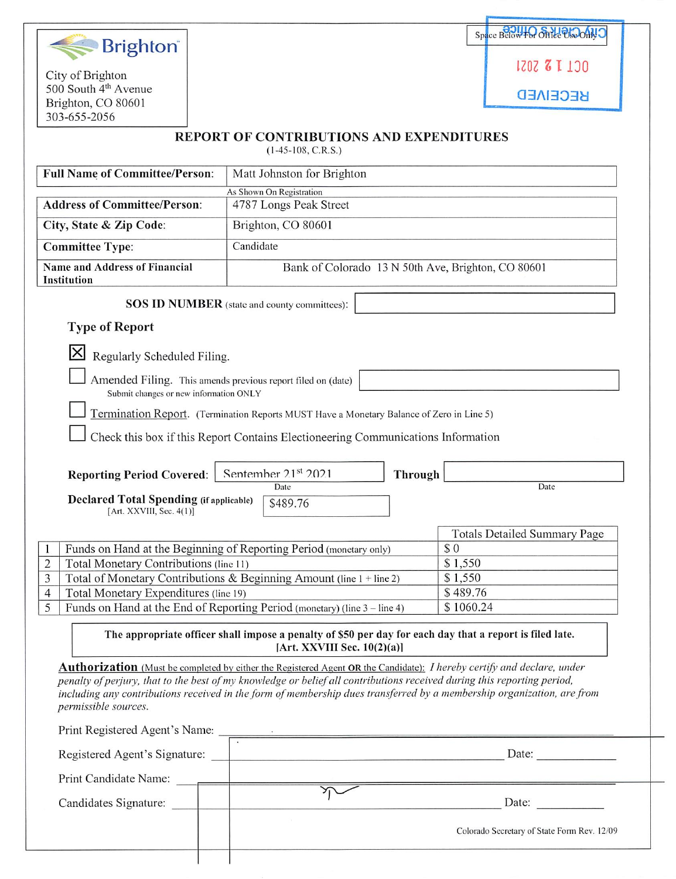

City of Brighton 500 South  $4<sup>m</sup>$  Avenue Brighton, CO 80601 303^655-2056

| Space Babw+O Strict ProoflyO |
|------------------------------|
| 1202 <b>&amp; L</b> 130      |

a3AI333a

## REPORT OF CONTRIBUTIONS AND EXPENDITURES

(1-45-108, C.R.S.)

| <b>Full Name of Committee/Person:</b>                                                                                  | Matt Johnston for Brighton                                                                                                                 |                                             |
|------------------------------------------------------------------------------------------------------------------------|--------------------------------------------------------------------------------------------------------------------------------------------|---------------------------------------------|
|                                                                                                                        | As Shown On Registration                                                                                                                   |                                             |
| <b>Address of Committee/Person:</b>                                                                                    | 4787 Longs Peak Street                                                                                                                     |                                             |
| City, State & Zip Code:                                                                                                | Brighton, CO 80601                                                                                                                         |                                             |
| <b>Committee Type:</b>                                                                                                 | Candidate                                                                                                                                  |                                             |
| <b>Name and Address of Financial</b>                                                                                   | Bank of Colorado 13 N 50th Ave, Brighton, CO 80601                                                                                         |                                             |
| Institution                                                                                                            |                                                                                                                                            |                                             |
|                                                                                                                        | SOS ID NUMBER (state and county committees):                                                                                               |                                             |
| <b>Type of Report</b>                                                                                                  |                                                                                                                                            |                                             |
| Regularly Scheduled Filing.                                                                                            |                                                                                                                                            |                                             |
|                                                                                                                        |                                                                                                                                            |                                             |
| Amended Filing. This amends previous report filed on (date)<br>Submit changes or new information ONLY                  |                                                                                                                                            |                                             |
|                                                                                                                        | Termination Report. (Termination Reports MUST Have a Monetary Balance of Zero in Line 5)                                                   |                                             |
|                                                                                                                        |                                                                                                                                            |                                             |
|                                                                                                                        | Check this box if this Report Contains Electioneering Communications Information                                                           |                                             |
|                                                                                                                        |                                                                                                                                            |                                             |
| <b>Reporting Period Covered:</b>                                                                                       | Sentember 21st 2021<br>Through<br>Date                                                                                                     | Date                                        |
| <b>Declared Total Spending (if applicable)</b>                                                                         | \$489.76                                                                                                                                   |                                             |
| [Art. $XXVIII$ , Sec. 4(1)]                                                                                            |                                                                                                                                            |                                             |
|                                                                                                                        |                                                                                                                                            | <b>Totals Detailed Summary Page</b>         |
| 1                                                                                                                      | Funds on Hand at the Beginning of Reporting Period (monetary only)                                                                         | \$0                                         |
| Total Monetary Contributions (line 11)<br>$\overline{c}$                                                               |                                                                                                                                            | \$1,550                                     |
| 3                                                                                                                      | Total of Monetary Contributions & Beginning Amount (line 1 + line 2)                                                                       | \$1,550                                     |
| Total Monetary Expenditures (line 19)<br>$\overline{4}$                                                                |                                                                                                                                            | \$489.76                                    |
| Funds on Hand at the End of Reporting Period (monetary) (line 3 – line 4)<br>\$1060.24<br>5                            |                                                                                                                                            |                                             |
|                                                                                                                        | The appropriate officer shall impose a penalty of \$50 per day for each day that a report is filed late.<br>[Art. XXVIII Sec. $10(2)(a)$ ] |                                             |
|                                                                                                                        | <b>Authorization</b> (Must be completed by either the Registered Agent OR the Candidate): I hereby certify and declare, under              |                                             |
|                                                                                                                        | penalty of perjury, that to the best of my knowledge or belief all contributions received during this reporting period,                    |                                             |
| including any contributions received in the form of membership dues transferred by a membership organization, are from |                                                                                                                                            |                                             |
| permissible sources.                                                                                                   |                                                                                                                                            |                                             |
|                                                                                                                        | Print Registered Agent's Name:                                                                                                             |                                             |
|                                                                                                                        |                                                                                                                                            |                                             |
|                                                                                                                        | Print Candidate Name:                                                                                                                      |                                             |
|                                                                                                                        |                                                                                                                                            |                                             |
|                                                                                                                        |                                                                                                                                            |                                             |
| Candidates Signature:                                                                                                  |                                                                                                                                            | Date:                                       |
|                                                                                                                        |                                                                                                                                            | Colorado Secretary of State Form Rev. 12/09 |
|                                                                                                                        |                                                                                                                                            |                                             |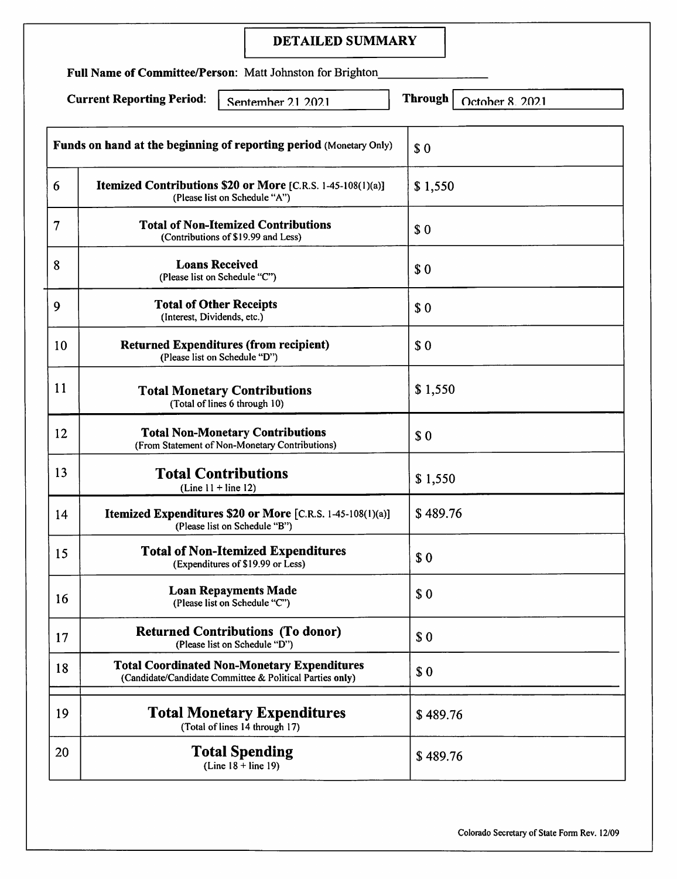## DETAILED SUMMARY

Full Name of Committee/Person: Matt Johnston for Brighton

Current Reporting Period:  $\Big|$  Sentember 2.1 2.02.1 Through October 8 2.02.1

**Funds on hand at the beginning of reporting period** (Monetary Only)  $\int$   $\int$  0 6 | Itemized Contributions \$20 or More  $[C.R.S. 1-45-108(1)(a)]$  | \$ 1,550 (Please list on Schedule "A") Total of Non-Itemized Contributions 7 \$0 (Contributions of \$19.99 and Less) Loans Received 8 \$ 0 (Please list on Schedule "C") 9 | Total of Other Receipts | \$ 0 (Interest, Dividends, etc.) 10 Returned Expenditures (from recipient) | \$ 0 (Please list on Schedule "D") 11 Total Monetary Contributions | \$ 1,550 (Total of lines 6 through 10) 12 **Total Non-Monetary Contributions** \$ 0 (From Statement of Non-Monetary Contributions) 13 **Total Contributions** \$ 1,550  $(Line 11 + line 12)$ **Itemized Expenditures \$20 or More** [C.R.S. 1-45-108(1)(a)]  $\left| \frac{6}{3}\right|$  489.76 14 (Please list on Schedule "B")  $\begin{array}{c|c}\n 15 & \text{I total of Non-Itemized Expendatures} \\
 \hline\n 6 & \text{Expenditures of $19.99 or less}\n\end{array}$ (Expenditures of \$19.99 or Less) Loan Repayments Made 16 Loan Repayments Made<br>
(Please list on Schedule "C") 80 17 | **Returned Contributions (To donor)**  $\begin{array}{c} \S 0 \end{array}$ (Please list on Schedule "D") Total Coordinated Non-Monetary Expenditures 18 1 Otal Coordinated Non-Monetary Expenditures<br>
(Candidate/Candidate Committee & Political Parties only) 19 | **Iotal Monetary Expenditures** | \$489.76 (Total of lines 14 through 17)  $20$   $\left| \right|$   $20$   $\left| \right|$   $3489.76$ (Line  $18 +$  line 19)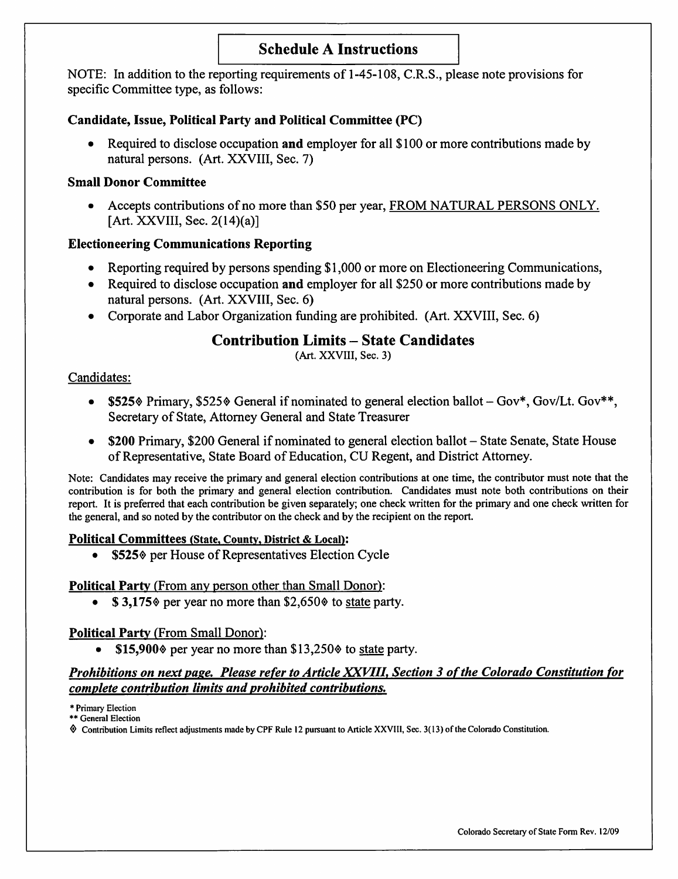# Schedule A Instructions

NOTE: In addition to the reporting requirements of 1-45-108, C.R.S., please note provisions for specific Committee type, as follows:

## Candidate, Issue, Political Party and Political Committee (PC)

• Required to disclose occupation and employer for all \$100 or more contributions made by natural persons. (Art. XXVIII, Sec. 7)

## Small Donor Committee

• Accepts contributions of no more than \$50 per year, FROM NATURAL PERSONS ONLY. [Art. XXVIII, Sec. 2(14)(a)]

## Electioneering Communications Reporting

- Reporting required by persons spending \$1,000 or more on Electioneering Communications,
- Required to disclose occupation and employer for all \$250 or more contributions made by natural persons. (Art. XXVIII, Sec. 6)
- Corporate and Labor Organization funding are prohibited. (Art. XXVIII, Sec. 6)

# Contribution Limits - State Candidates

(Art. XXVIII, Sec. 3)

## Candidates:

- \$525% Primary, \$525% General if nominated to general election ballot  $-Gov^*$ , Gov/Lt. Gov\*\*, Secretary of State, Attorney General and State Treasurer
- \$200 Primary, \$200 General if nominated to general election ballot State Senate, State House of Representative, State Board of Education, CU Regent, and District Attorney.

Note; Candidates may receive the primary and general election contributions at one time, the contributor must note that the contribution is for both the primary and general election contribution. Candidates must note both contributions on their report. It is preferred that each contribution be given separately; one check written for the primary and one check written for the general, and so noted by the contributor on the check and by the recipient on the report.

## Political Committees (State, County, District & Local):

• \$525% per House of Representatives Election Cycle

## Political Party (From any person other than Small Donor):

•  $\$$  3,175 $\degree$  per year no more than \$2,650 $\degree$  to state party.

## Political Party (From Small Donor):

•  $$15,900\%$  per year no more than  $$13,250\%$  to state party.

## Prohibitions on next page. Please refer to Article XXVIII, Section 3 of the Colorado Constitution for complete contribution limits and prohibited contributions.

\* Primary Election

\*\* General Election

Contribution Limits reflect adjustments made by CPF Rule 12 pursuant to Article XXVlll, Sec. 3( 13) of the Colorado Constitution.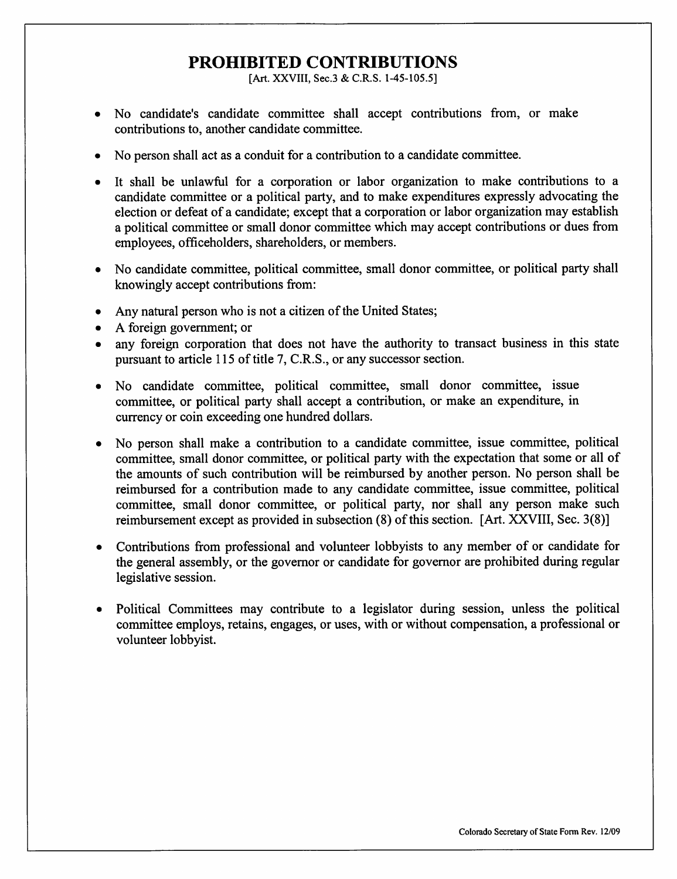# PROHIBITED CONTRIBUTIONS

[Art. XXVIII, Sec.3 & C.R.S. 1-45-105.5]

- No candidate's candidate committee shall accept contributions from, or make contributions to, another candidate committee.
- No person shall act as a conduit for a contribution to a candidate committee.
- It shall be unlawful for a corporation or labor organization to make contributions to a candidate committee or a political party, and to make expenditures expressly advocating the election or defeat of a candidate; except that a corporation or labor organization may establish a political committee or small donor committee which may accept contributions or dues from employees, officeholders, shareholders, or members.
- No candidate committee, political committee, small donor committee, or political party shall knowingly accept contributions from:
- Any natural person who is not a citizen of the United States;
- A foreign government; or
- any foreign corporation that does not have the authority to transact business in this state pursuant to article 115 of title 7, C.R.S., or any successor section.
- No candidate committee, political committee, small donor committee, issue committee, or political party shall accept a contribution, or make an expenditure, in currency or coin exceeding one hundred dollars.
- No person shall make a contribution to a candidate committee, issue committee, political committee, small donor committee, or political party with the expectation that some or all of the amounts of such contribution will be reimbursed by another person. No person shall be reimbursed for a contribution made to any candidate committee, issue committee, political committee, small donor committee, or political party, nor shall any person make such reimbursement except as provided in subsection (8) of this section. [Art. XXVIII, Sec. 3(8)]
- Contributions from professional and volunteer lobbyists to any member of or candidate for the general assembly, or the governor or candidate for governor are prohibited during regular legislative session.
- Political Committees may contribute to a legislator during session, unless the political committee employs, retains, engages, or uses, with or without compensation, a professional or volunteer lobbyist.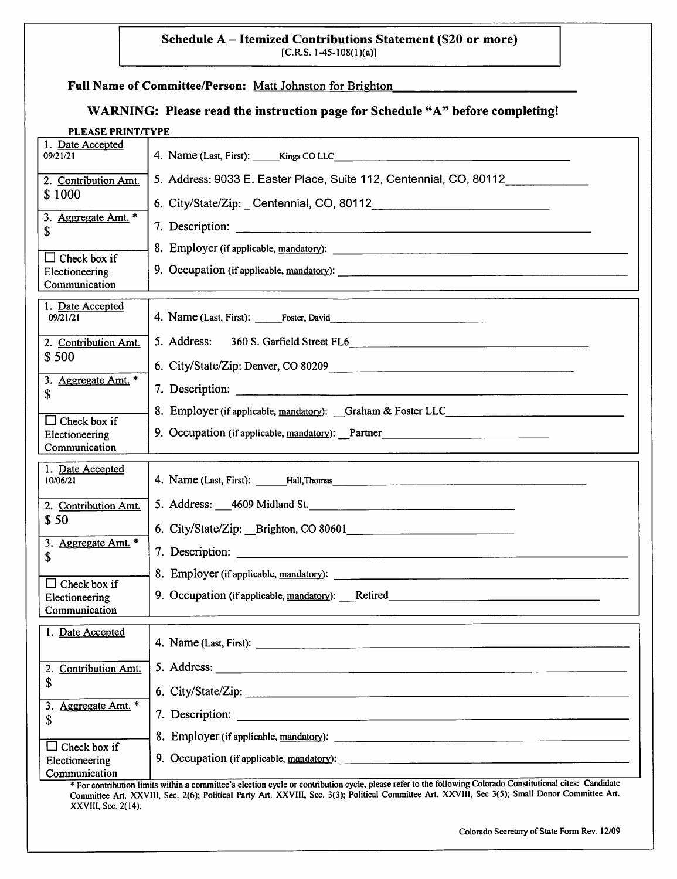#### Schedule A - Itemized Contributions Statement (\$20 or more)  $[C.R.S. 1-45-108(1)(a)]$

#### Full Name of Committee/Person: Matt Johnston for Brighton

## WARNING: Please read the instruction page for Schedule "A" before completing!

| PLEASE PRINT/TYPE               |                                                                                                                |
|---------------------------------|----------------------------------------------------------------------------------------------------------------|
| 1. Date Accepted<br>09/21/21    |                                                                                                                |
| 2. Contribution Amt.<br>\$1000  | 5. Address: 9033 E. Easter Place, Suite 112, Centennial, CO, 80112                                             |
| 3. Aggregate Amt. *             | 6. City/State/Zip: Centennial, CO, 80112                                                                       |
| S                               | 7. Description:                                                                                                |
| $\Box$ Check box if             |                                                                                                                |
| Electioneering<br>Communication |                                                                                                                |
| 1. Date Accepted<br>09/21/21    |                                                                                                                |
| 2. Contribution Amt.            | 5. Address:                                                                                                    |
| \$500                           |                                                                                                                |
| 3. Aggregate Amt. *<br>\$       |                                                                                                                |
| $\Box$ Check box if             | 8. Employer (if applicable, mandatory): Graham & Foster LLC_____________________                               |
| Electioneering<br>Communication | 9. Occupation (if applicable, mandatory): Partner                                                              |
| 1. Date Accepted<br>10/06/21    |                                                                                                                |
| 2. Contribution Amt.            | 5. Address: 4609 Midland St. 2008 2010 12:00:00 12:00:00 12:00:00 12:00:00 12:00:00 12:00:00 12:00:00 12:00:00 |
| \$50                            |                                                                                                                |
| 3. Aggregate Amt. *<br>\$       |                                                                                                                |
| $\Box$ Check box if             |                                                                                                                |
| Electioneering<br>Communication | 9. Occupation (if applicable, mandatory): Retired                                                              |
| 1. Date Accepted                |                                                                                                                |
| <b>Contribution Amt.</b><br>2.  |                                                                                                                |
| \$                              |                                                                                                                |
| Aggregate Amt. *<br>3.<br>\$    |                                                                                                                |
| Check box if                    | 8. Employer (if applicable, mandatory):                                                                        |
|                                 |                                                                                                                |
| Electioneering<br>Communication |                                                                                                                |

\* For contribution limits within a committee's election cycle or contribution cycle, please refer to the following Colorado Constitutional cites: Candidate Committee Art. XXVlll, Sec. 2(6); Political Party Art. XXVlll, Sec. 3(3); Political Conunittee Art. XXVIII, Sec 3(5); Small Donor Committee Art. XXVlll, Sec. 2(14).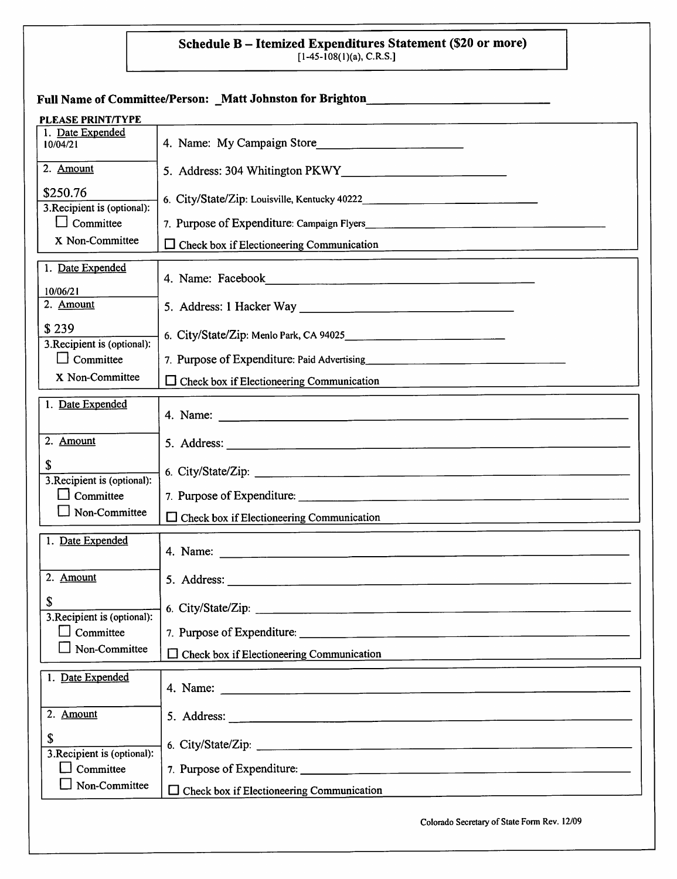# Schedule B – Itemized Expenditures Statement (\$20 or more)<br>[1-45-108(1)(a), C.R.S.]

|                                                 | Full Name of Committee/Person: _Matt Johnston for Brighton______________________                                                                                                                                               |
|-------------------------------------------------|--------------------------------------------------------------------------------------------------------------------------------------------------------------------------------------------------------------------------------|
| <b>PLEASE PRINT/TYPE</b>                        |                                                                                                                                                                                                                                |
| 1. Date Expended<br>10/04/21                    | 4. Name: My Campaign Store                                                                                                                                                                                                     |
| 2. Amount                                       |                                                                                                                                                                                                                                |
| \$250.76<br>3. Recipient is (optional):         |                                                                                                                                                                                                                                |
| $\Box$ Committee                                |                                                                                                                                                                                                                                |
| X Non-Committee                                 | Check box if Electioneering Communication<br>ப                                                                                                                                                                                 |
| 1. Date Expended                                |                                                                                                                                                                                                                                |
| 10/06/21<br>2. Amount                           | 5. Address: 1 Hacker Way                                                                                                                                                                                                       |
| \$239                                           |                                                                                                                                                                                                                                |
| 3. Recipient is (optional):<br>$\Box$ Committee |                                                                                                                                                                                                                                |
| X Non-Committee                                 | Check box if Electioneering Communication                                                                                                                                                                                      |
| 1. Date Expended                                |                                                                                                                                                                                                                                |
| 2. Amount                                       |                                                                                                                                                                                                                                |
| \$<br>3. Recipient is (optional):               |                                                                                                                                                                                                                                |
| Committee                                       |                                                                                                                                                                                                                                |
| Non-Committee                                   | $\Box$ Check box if Electioneering Communication                                                                                                                                                                               |
| 1. Date Expended                                | 4. Name:<br><u> 1980 - Jan Sterling, Amerikaansk politiker († 1908)</u>                                                                                                                                                        |
| 2. Amount                                       |                                                                                                                                                                                                                                |
| \$<br>3. Recipient is (optional):               | 6. City/State/Zip: 2008. 2009. 2009. 2010. 2010. 2010. 2010. 2010. 2010. 2010. 2010. 2010. 2010. 2010. 2010. 20                                                                                                                |
| Committee<br>$\blacksquare$                     |                                                                                                                                                                                                                                |
| Non-Committee                                   | $\Box$ Check box if Electioneering Communication                                                                                                                                                                               |
| 1. Date Expended                                | 4. Name: 2008. All 2008. The contract of the contract of the contract of the contract of the contract of the contract of the contract of the contract of the contract of the contract of the contract of the contract of the c |
| 2. Amount                                       |                                                                                                                                                                                                                                |
| \$                                              | 6. City/State/Zip: 2008. 2009. 2009. 2010. 2010. 2010. 2010. 2010. 2010. 2010. 2010. 2010. 2010. 2010. 2010. 20                                                                                                                |
| 3. Recipient is (optional):<br>Committee        |                                                                                                                                                                                                                                |
| Non-Committee                                   | $\Box$ Check box if Electioneering Communication                                                                                                                                                                               |
|                                                 | Colorado Secretary of State Form Rev. 12/09                                                                                                                                                                                    |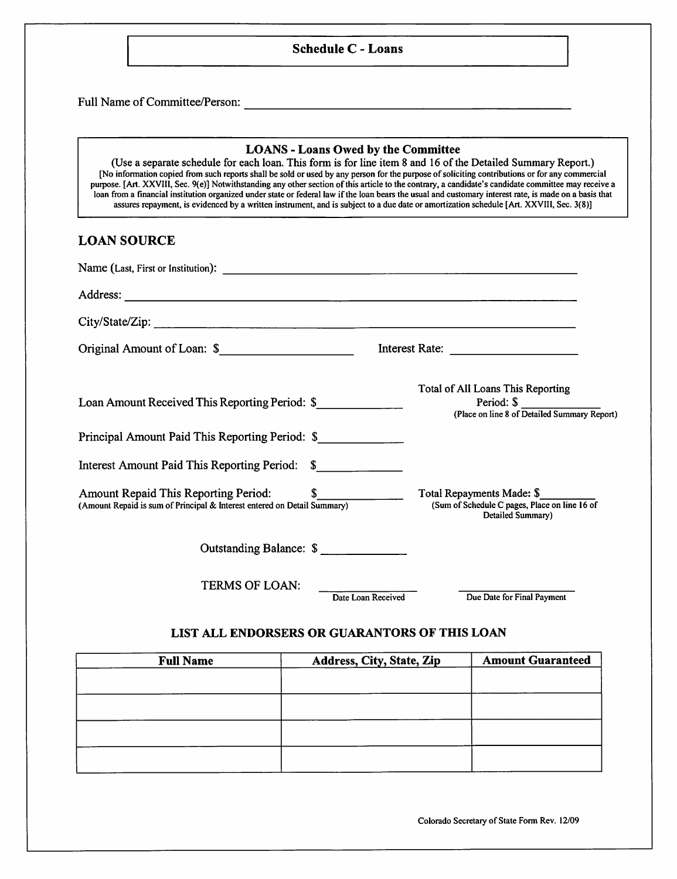#### Schedule C - Loans

Full Name of Committee/Person:

#### LOANS - Loans Owed by the Committee

(Use a separate schedule for each loan. This form is for line item 8 and 16 of the Detailed Summary Report.) [No infontiation copied from such reports shall be sold or used by any person for the purpose of soliciting contributions or for any commercial puipose. [Art. XXVIII, Sec. 9(e)] Notwithstanding any other section of this article to the contrary, a candidate's candidate committee may receive a loan from a financial institution organized under state or federal law if the loan bears the usual and customaiy interest rate, is made on a basis that assures repayment, is evidenced by a written instmment, and is subject to a due date or amortization schedule [Art. XXVIll, Sec. 3(8)]

## LOAN SOURCE

| Original Amount of Loan: \$                                                                                         |                                                                                                 |
|---------------------------------------------------------------------------------------------------------------------|-------------------------------------------------------------------------------------------------|
| Loan Amount Received This Reporting Period: \$                                                                      | Total of All Loans This Reporting<br>Period: \$<br>(Place on line 8 of Detailed Summary Report) |
| Principal Amount Paid This Reporting Period: \$                                                                     |                                                                                                 |
| Interest Amount Paid This Reporting Period: \$                                                                      |                                                                                                 |
| Amount Repaid This Reporting Period: \$<br>(Amount Repaid is sum of Principal & Interest entered on Detail Summary) | Total Repayments Made: \$<br>(Sum of Schedule C pages, Place on line 16 of<br>Detailed Summary) |
| Outstanding Balance: \$                                                                                             |                                                                                                 |
| TERMS OF LOAN:<br>Date Loan Received                                                                                | Due Date for Final Payment                                                                      |

## LIST ALL ENDORSERS OR GUARANTORS OF THIS LOAN

| <b>Full Name</b> | Address, City, State, Zip | <b>Amount Guaranteed</b> |
|------------------|---------------------------|--------------------------|
|                  |                           |                          |
|                  |                           |                          |
|                  |                           |                          |
|                  |                           |                          |
|                  |                           |                          |
|                  |                           |                          |

Colorado Secretary of State Form Rev. 12/09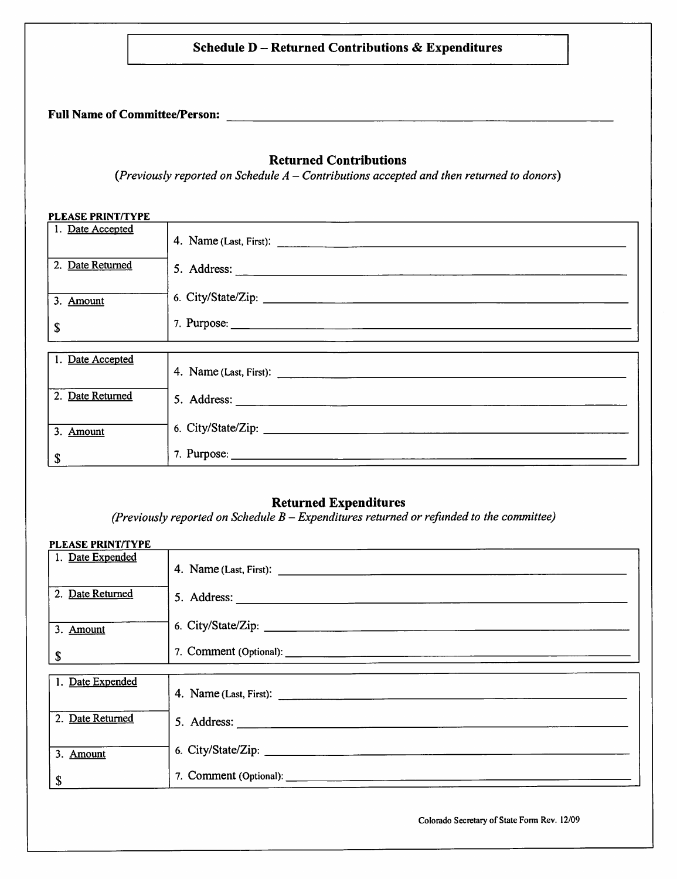## Schedule D - Returned Contributions & Expenditures

Full Name of Committee/Person:

## Returned Contributions

 $(Previously reported on Schedule A - Contributions accepted and then returned to donors)$ 

#### PLEASE PRINT/TYPE

| 1. Date Accepted |                    |
|------------------|--------------------|
| 2. Date Returned |                    |
| 3. Amount        | 6. City/State/Zip: |
| \$               |                    |
|                  |                    |
| 1. Date Accepted |                    |
| 2. Date Returned |                    |
| 3. Amount        |                    |
| \$               |                    |

## Returned Expenditures

(Previously reported on Schedule  $B - Expenditures$  returned or refunded to the committee)

| <b>PLEASE PRINT/TYPE</b> |  |
|--------------------------|--|
| 1. Date Expended         |  |
| 2. Date Returned         |  |
| 3. Amount                |  |
| $\pmb{\mathbb{S}}$       |  |
| 1. Date Expended         |  |
|                          |  |
| 2. Date Returned         |  |
| 3. Amount                |  |
| \$                       |  |

Colorado Secretary of State Fonn Rev. 12/09